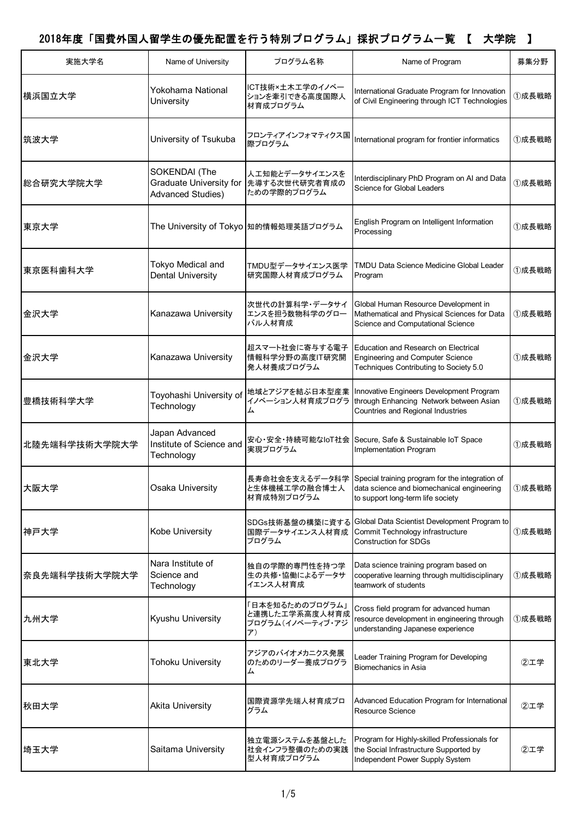| 実施大学名         | Name of University                                                          | プログラム名称                                                    | Name of Program                                                                                                                                   | 募集分野  |
|---------------|-----------------------------------------------------------------------------|------------------------------------------------------------|---------------------------------------------------------------------------------------------------------------------------------------------------|-------|
| 横浜国立大学        | Yokohama National<br>University                                             | ICT技術×土木工学のイノベー<br>ションを牽引できる高度国際人<br>材育成プログラム              | International Graduate Program for Innovation<br>of Civil Engineering through ICT Technologies                                                    | ①成長戦略 |
| 筑波大学          | University of Tsukuba                                                       | フロンティアインフォマティクス国<br>際プログラム                                 | International program for frontier informatics                                                                                                    | ①成長戦略 |
| 総合研究大学院大学     | SOKENDAI (The<br><b>Graduate University for</b><br><b>Advanced Studies)</b> | 人工知能とデータサイエンスを<br>先導する次世代研究者育成の<br>ための学際的プログラム             | Interdisciplinary PhD Program on AI and Data<br>Science for Global Leaders                                                                        | ①成長戦略 |
| 東京大学          |                                                                             | The University of Tokyo 知的情報処理英語プログラム                      | English Program on Intelligent Information<br>Processing                                                                                          | ①成長戦略 |
| 東京医科歯科大学      | Tokyo Medical and<br><b>Dental University</b>                               | TMDU型データサイエンス医学<br>研究国際人材育成プログラム                           | <b>TMDU Data Science Medicine Global Leader</b><br>Program                                                                                        | ①成長戦略 |
| 金沢大学          | Kanazawa University                                                         | 次世代の計算科学・データサイ<br>エンスを担う数物科学のグロー<br>バル人材育成                 | Global Human Resource Development in<br>Mathematical and Physical Sciences for Data<br>Science and Computational Science                          | ①成長戦略 |
| 金沢大学          | Kanazawa University                                                         | 超スマート社会に寄与する電子<br>情報科学分野の高度IT研究開<br>発人材養成プログラム             | Education and Research on Electrical<br><b>Engineering and Computer Science</b><br>Techniques Contributing to Society 5.0                         | ①成長戦略 |
| 豊橋技術科学大学      | Toyohashi University of<br>Technology                                       | 地域とアジアを結ぶ日本型産業<br>イノベーション人材育成プログラ<br>厶                     | Innovative Engineers Development Program<br>through Enhancing Network between Asian<br>Countries and Regional Industries                          | ①成長戦略 |
| 北陸先端科学技術大学院大学 | Japan Advanced<br>Institute of Science and<br>Technology                    | 安心·安全·持続可能なIoT社会<br>実現プログラム                                | Secure, Safe & Sustainable IoT Space<br>Implementation Program                                                                                    | ①成長戦略 |
| 大阪大学          | Osaka University                                                            | と生体機械工学の融合博士人<br>材育成特別プログラム                                | 長寿命社会を支えるデータ科学 Special training program for the integration of<br>data science and biomechanical engineering<br>to support long-term life society | ①成長戦略 |
| 神戸大学          | Kobe University                                                             |                                                            | Global Data Scientist Development Program to<br>Commit Technology infrastructure<br><b>Construction for SDGs</b>                                  | ①成長戦略 |
| 奈良先端科学技術大学院大学 | Nara Institute of<br>Science and<br>Technology                              | 独自の学際的専門性を持つ学<br>生の共修・協働によるデータサ<br>イエンス人材育成                | Data science training program based on<br>cooperative learning through multidisciplinary<br>teamwork of students                                  | ①成長戦略 |
| 九州大学          | Kyushu University                                                           | 日本を知るためのプログラム」<br>と連携したエ学系高度人材育成<br>プログラム(イノベーティブ・アジ<br>ア) | Cross field program for advanced human<br>resource development in engineering through<br>understanding Japanese experience                        | ①成長戦略 |
| 東北大学          | <b>Tohoku University</b>                                                    | アジアのバイオメカニクス発展<br>のためのリーダー養成プログラ<br>厶                      | Leader Training Program for Developing<br>Biomechanics in Asia                                                                                    | ②工学   |
| 秋田大学          | <b>Akita University</b>                                                     | 国際資源学先端人材育成プロ<br>グラム                                       | Advanced Education Program for International<br><b>Resource Science</b>                                                                           | ②工学   |
| 埼玉大学          | Saitama University                                                          | 独立電源システムを基盤とした<br>社会インフラ整備のための実践<br>型人材育成プログラム             | Program for Highly-skilled Professionals for<br>the Social Infrastructure Supported by<br>Independent Power Supply System                         | ②工学   |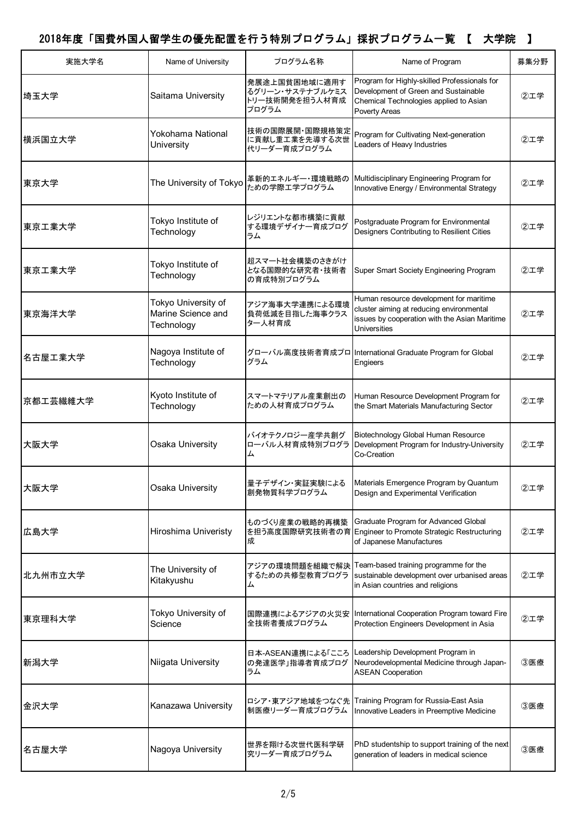| 実施大学名    | Name of University                                      | プログラム名称                                                     | Name of Program                                                                                                                                      | 募集分野 |
|----------|---------------------------------------------------------|-------------------------------------------------------------|------------------------------------------------------------------------------------------------------------------------------------------------------|------|
| 埼玉大学     | Saitama University                                      | 発展途上国貧困地域に適用す<br>るグリーン・サステナブルケミス<br>トリー技術開発を担う人材育成<br>プログラム | Program for Highly-skilled Professionals for<br>Development of Green and Sustainable<br>Chemical Technologies applied to Asian<br>Poverty Areas      | ②工学  |
| 横浜国立大学   | Yokohama National<br>University                         | 技術の国際展開・国際規格策定<br>に貢献し重工業を先導する次世<br>代リーダー育成プログラム            | Program for Cultivating Next-generation<br>Leaders of Heavy Industries                                                                               | 2工学  |
| 東京大学     | The University of Tokyo                                 | 革新的エネルギー・環境戦略の<br>ための学際エ学プログラム                              | Multidisciplinary Engineering Program for<br>Innovative Energy / Environmental Strategy                                                              | ②工学  |
| 東京工業大学   | Tokyo Institute of<br>Technology                        | レジリエントな都市構築に貢献<br>する環境デザイナー育成プログ<br>ラム                      | Postgraduate Program for Environmental<br>Designers Contributing to Resilient Cities                                                                 | ②工学  |
| 東京工業大学   | Tokyo Institute of<br>Technology                        | 超スマート社会構築のさきがけ<br>となる国際的な研究者・技術者<br>の育成特別プログラム              | Super Smart Society Engineering Program                                                                                                              | 2工学  |
| 東京海洋大学   | Tokyo University of<br>Marine Science and<br>Technology | アジア海事大学連携による環境<br>負荷低減を目指した海事クラス<br>ター人材育成                  | Human resource development for maritime<br>cluster aiming at reducing environmental<br>issues by cooperation with the Asian Maritime<br>Universities | 2工学  |
| 名古屋工業大学  | Nagoya Institute of<br>Technology                       | グラム                                                         | グローバル高度技術者育成プロ International Graduate Program for Global<br>Engieers                                                                                 | ②工学  |
| 京都工芸繊維大学 | Kyoto Institute of<br>Technology                        | スマートマテリアル産業創出の<br>ための人材育成プログラム                              | Human Resource Development Program for<br>the Smart Materials Manufacturing Sector                                                                   | 2工学  |
| 大阪大学     | Osaka University                                        | バイオテクノロジー産学共創グ<br>ローバル人材育成特別プログラ<br>厶                       | Biotechnology Global Human Resource<br>Development Program for Industry-University<br>Co-Creation                                                    | 2工学  |
| 大阪大学     | Osaka University                                        | 創発物質科学プログラム                                                 | 量子デザイン・実証実験による Materials Emergence Program by Quantum<br>Design and Experimental Verification                                                        | ②工学  |
| 広島大学     | Hiroshima Univeristy                                    | ものづくり産業の戦略的再構築<br>成                                         | Graduate Program for Advanced Global<br>を担う高度国際研究技術者の育 Engineer to Promote Strategic Restructuring<br>of Japanese Manufactures                       | ②工学  |
| 北九州市立大学  | The University of<br>Kitakyushu                         | するための共修型教育プログラ<br>ᇫ                                         | アジアの環境問題を組織で解決 Team-based training programme for the<br>sustainable development over urbanised areas<br>in Asian countries and religions             | ②工学  |
| 東京理科大学   | Tokyo University of<br>Science                          | 国際連携によるアジアの火災安<br>全技術者養成プログラム                               | International Cooperation Program toward Fire<br>Protection Engineers Development in Asia                                                            | ②工学  |
| 新潟大学     | Niigata University                                      | 日本-ASEAN連携による「こころ<br>の発達医学」指導者育成プログ<br>ラム                   | Leadership Development Program in<br>Neurodevelopmental Medicine through Japan-<br><b>ASEAN Cooperation</b>                                          | 3医療  |
| 金沢大学     | Kanazawa University                                     | ロシア・東アジア地域をつなぐ先<br>制医療リーダー育成プログラム                           | Training Program for Russia-East Asia<br>Innovative Leaders in Preemptive Medicine                                                                   | ③医療  |
| 名古屋大学    | Nagoya University                                       | 世界を翔ける次世代医科学研<br>究リーダー育成プログラム                               | PhD studentship to support training of the next<br>generation of leaders in medical science                                                          | ③医療  |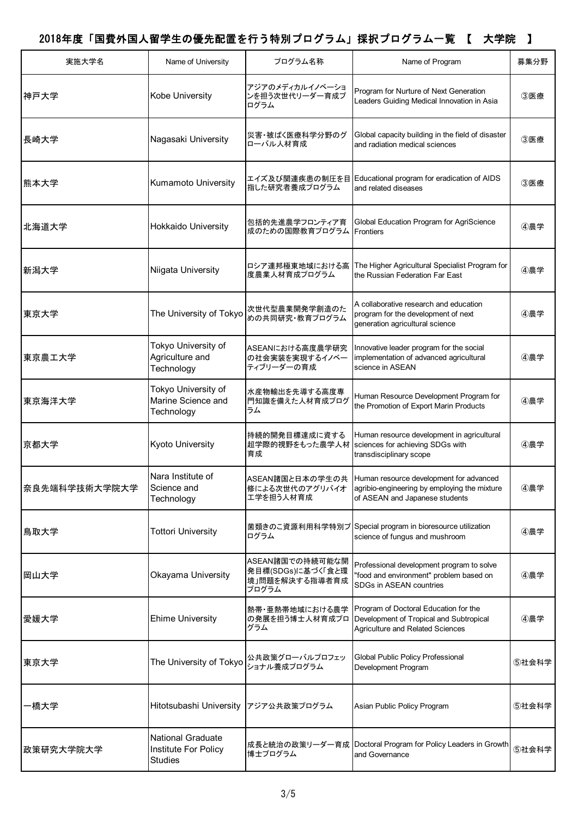| 実施大学名         | Name of University                                                 | プログラム名称                                                         | Name of Program                                                                                                                            | 募集分野  |
|---------------|--------------------------------------------------------------------|-----------------------------------------------------------------|--------------------------------------------------------------------------------------------------------------------------------------------|-------|
| 神戸大学          | Kobe University                                                    | アジアのメディカルイノベーショ<br>ンを担う次世代リーダー育成プ<br>ログラム                       | Program for Nurture of Next Generation<br>Leaders Guiding Medical Innovation in Asia                                                       | 3医療   |
| 長崎大学          | Nagasaki University                                                | 災害・被ばく医療科学分野のグ<br>ローバル人材育成                                      | Global capacity building in the field of disaster<br>and radiation medical sciences                                                        | 3医療   |
| 熊本大学          | Kumamoto University                                                | エイズ及び関連疾患の制圧を目<br>指した研究者養成プログラム                                 | Educational program for eradication of AIDS<br>and related diseases                                                                        | 3医療   |
| 北海道大学         | Hokkaido University                                                | 包括的先進農学フロンティア育<br>成のための国際教育プログラム                                | Global Education Program for AgriScience<br><b>Frontiers</b>                                                                               | ④農学   |
| 新潟大学          | Niigata University                                                 | ロシア連邦極東地域における高<br>度農業人材育成プログラム                                  | The Higher Agricultural Specialist Program for<br>the Russian Federation Far East                                                          | ④農学   |
| 東京大学          | The University of Tokyo                                            | 次世代型農業開発学創造のた<br>めの共同研究・教育プログラム                                 | A collaborative research and education<br>program for the development of next<br>generation agricultural science                           | ④農学   |
| 東京農工大学        | Tokyo University of<br>Agriculture and<br>Technology               | ASEANにおける高度農学研究<br>の社会実装を実現するイノベー<br>ティブリーダーの育成                 | Innovative leader program for the social<br>implementation of advanced agricultural<br>science in ASEAN                                    | 4農学   |
| 東京海洋大学        | Tokyo University of<br>Marine Science and<br>Technology            | 水産物輸出を先導する高度専<br>門知識を備えた人材育成プログ<br>ラム                           | Human Resource Development Program for<br>the Promotion of Export Marin Products                                                           | ④農学   |
| 京都大学          | Kyoto University                                                   | 持続的開発目標達成に資する<br>超学際的視野をもった農学人材<br>育成                           | Human resource development in agricultural<br>sciences for achieving SDGs with<br>transdisciplinary scope                                  | ④農学   |
| 奈良先端科学技術大学院大学 | Nara Institute of<br>Science and<br>Technology                     | 修による次世代のアグリバイオ<br>工学を担う人材育成                                     | ASEAN諸国と日本の学生の共  Human resource development for advanced<br>agribio-engineering by employing the mixture<br>of ASEAN and Japanese students | ④農学   |
| 鳥取大学          | <b>Tottori University</b>                                          | 菌類きのこ資源利用科学特別プ<br>ログラム                                          | Special program in bioresource utilization<br>science of fungus and mushroom                                                               | ④農学   |
| 岡山大学          | Okayama University                                                 | ASEAN諸国での持続可能な開<br>発目標(SDGs)に基づく「食と環<br>境」問題を解決する指導者育成<br>プログラム | Professional development program to solve<br>"food and environment" problem based on<br>SDGs in ASEAN countries                            | ④農学   |
| 愛媛大学          | <b>Ehime University</b>                                            | 熱帯・亜熱帯地域における農学<br>の発展を担う博士人材育成プロ<br>グラム                         | Program of Doctoral Education for the<br>Development of Tropical and Subtropical<br><b>Agriculture and Related Sciences</b>                | ④農学   |
| 東京大学          | The University of Tokyo                                            | 公共政策グローバルプロフェッ<br>ショナル養成プログラム                                   | Global Public Policy Professional<br>Development Program                                                                                   | ⑤社会科学 |
| -橋大学          | Hitotsubashi University                                            | アジア公共政策プログラム                                                    | Asian Public Policy Program                                                                                                                | ⑤社会科学 |
| 政策研究大学院大学     | <b>National Graduate</b><br>Institute For Policy<br><b>Studies</b> | 成長と統治の政策リーダー育成<br>博士プログラム                                       | Doctoral Program for Policy Leaders in Growth<br>and Governance                                                                            | ⑤社会科学 |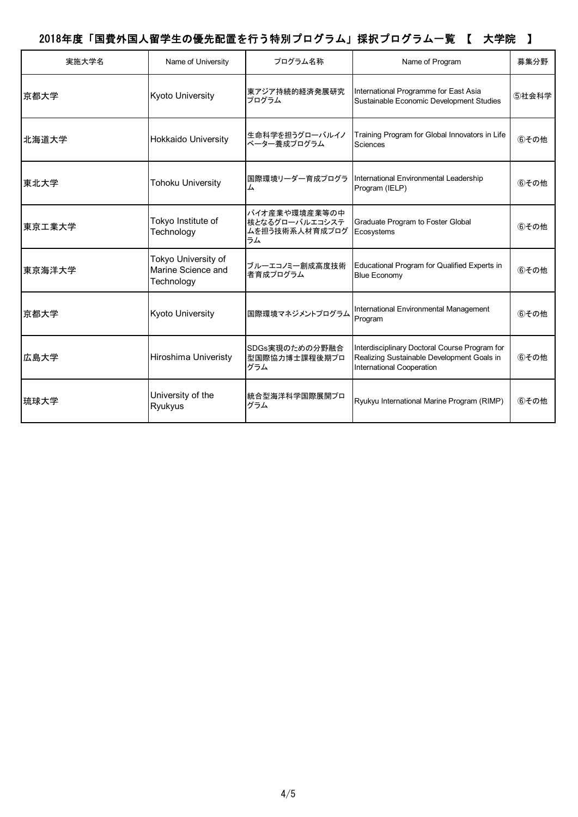| 実施大学名  | Name of University                                      | プログラム名称                                                 | Name of Program                                                                                                          | 募集分野  |
|--------|---------------------------------------------------------|---------------------------------------------------------|--------------------------------------------------------------------------------------------------------------------------|-------|
| 京都大学   | <b>Kyoto University</b>                                 | 東アジア持続的経済発展研究<br>プログラム                                  | International Programme for East Asia<br>Sustainable Economic Development Studies                                        | 5社会科学 |
| 北海道大学  | <b>Hokkaido University</b>                              | 生命科学を担うグローバルイノ<br>ベーター養成プログラム                           | Training Program for Global Innovators in Life<br>Sciences                                                               | 6その他  |
| 東北大学   | <b>Tohoku University</b>                                | 国際環境リーダー育成プログラ<br>厶                                     | International Environmental Leadership<br>Program (IELP)                                                                 | 6その他  |
| 東京工業大学 | Tokyo Institute of<br>Technology                        | バイオ産業や環境産業等の中<br>核となるグローバルエコシステ<br>ムを担う技術系人材育成プログ<br>ラム | Graduate Program to Foster Global<br>Ecosystems                                                                          | 6その他  |
| 東京海洋大学 | Tokyo University of<br>Marine Science and<br>Technology | ブルーエコノミー創成高度技術<br>者育成プログラム                              | Educational Program for Qualified Experts in<br><b>Blue Economy</b>                                                      | 6その他  |
| 京都大学   | <b>Kyoto University</b>                                 | 国際環境マネジメントプログラム                                         | International Environmental Management<br>Program                                                                        | 6その他  |
| 広島大学   | <b>Hiroshima Univeristy</b>                             | SDGs実現のための分野融合<br>型国際協力博士課程後期プロ<br>グラム                  | Interdisciplinary Doctoral Course Program for<br>Realizing Sustainable Development Goals in<br>International Cooperation | 6その他  |
| 琉球大学   | University of the<br>Ryukyus                            | 統合型海洋科学国際展開プロ<br>グラム                                    | Ryukyu International Marine Program (RIMP)                                                                               | 6その他  |